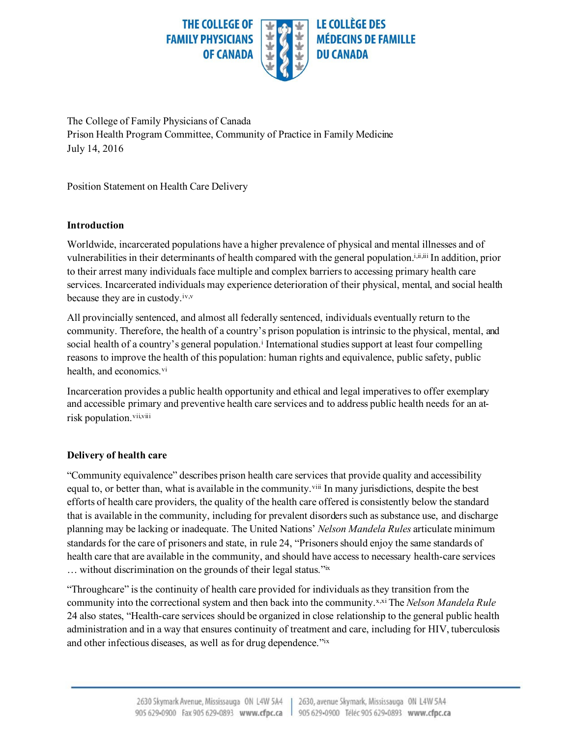

The College of Family Physicians of Canada Prison Health Program Committee, Community of Practice in Family Medicine July 14, 2016

Position Statement on Health Care Delivery

## **Introduction**

Worldwide, incarcerated populations have a higher prevalence of physical and mental illnesses and of vulnerabilities in their determinants of health compared with the general population.<sup>i,ii,iii</sup> In addition, prior to their arrest many individuals face multiple and complex barriers to accessing primary health care services. Incarcerated individuals may experience deterioration of their physical, mental, and social health because they are in custody.<sup>iv,v</sup>

All provincially sentenced, and almost all federally sentenced, individuals eventually return to the community. Therefore, the health of a country's prison population is intrinsic to the physical, mental, and social health of a country's general population.<sup>i</sup> International studies support at least four compelling reasons to improve the health of this population: human rights and equivalence, public safety, public health, and economics.<sup>vi</sup>

Incarceration provides a public health opportunity and ethical and legal imperatives to offer exemplary and accessible primary and preventive health care services and to address public health needs for an atrisk population.<sup>vii,viii</sup>

### **Delivery of health care**

"Community equivalence" describes prison health care services that provide quality and accessibility equal to, or better than, what is available in the community.<sup>viii</sup> In many jurisdictions, despite the best efforts of health care providers, the quality of the health care offered is consistently below the standard that is available in the community, including for prevalent disorders such as substance use, and discharge planning may be lacking or inadequate. The United Nations' *Nelson Mandela Rules* articulate minimum standards for the care of prisoners and state, in rule 24, "Prisoners should enjoy the same standards of health care that are available in the community, and should have access to necessary health-care services … without discrimination on the grounds of their legal status."ix

"Throughcare" is the continuity of health care provided for individuals as they transition from the community into the correctional system and then back into the community.<sup>x,xi</sup> The *Nelson Mandela Rule* 24 also states, "Health-care services should be organized in close relationship to the general public health administration and in a way that ensures continuity of treatment and care, including for HIV, tuberculosis and other infectious diseases, as well as for drug dependence."ix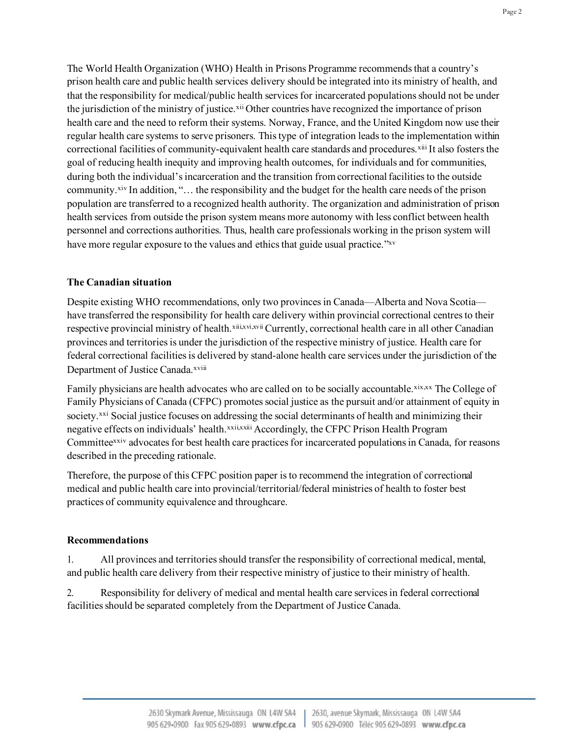The World Health Organization (WHO) Health in Prisons Programme recommends that a country's prison health care and public health services delivery should be integrated into its ministry of health, and that the responsibility for medical/public health services for incarcerated populations should not be under the jurisdiction of the ministry of justice.xii Other countries have recognized the importance of prison health care and the need to reform their systems. Norway, France, and the United Kingdom now use their regular health care systems to serve prisoners. This type of integration leads to the implementation within correctional facilities of community-equivalent health care standards and procedures.xiii It also fosters the goal of reducing health inequity and improving health outcomes, for individuals and for communities, during both the individual's incarceration and the transition from correctional facilities to the outside community.<sup>xiv</sup> In addition, "... the responsibility and the budget for the health care needs of the prison population are transferred to a recognized health authority. The organization and administration of prison health services from outside the prison system means more autonomy with less conflict between health personnel and corrections authorities. Thus, health care professionals working in the prison system will have more regular exposure to the values and ethics that guide usual practice."xv

# **The Canadian situation**

Despite existing WHO recommendations, only two provinces in Canada—Alberta and Nova Scotia have transferred the responsibility for health care delivery within provincial correctional centres to their respective provincial ministry of health.xiii,xvi,xvii Currently, correctional health care in all other Canadian provinces and territories is under the jurisdiction of the respective ministry of justice. Health care for federal correctional facilities is delivered by stand-alone health care services under the jurisdiction of the Department of Justice Canada.xviii

Family physicians are health advocates who are called on to be socially accountable.xix,xx The College of Family Physicians of Canada (CFPC) promotes social justice as the pursuit and/or attainment of equity in society.<sup>xxi</sup> Social justice focuses on addressing the social determinants of health and minimizing their negative effects on individuals' health.<sup>xxii,xxii</sup> Accordingly, the CFPC Prison Health Program Committeexxiv advocates for best health care practices for incarcerated populations in Canada, for reasons described in the preceding rationale.

Therefore, the purpose of this CFPC position paper is to recommend the integration of correctional medical and public health care into provincial/territorial/federal ministries of health to foster best practices of community equivalence and throughcare.

### **Recommendations**

1. All provinces and territories should transfer the responsibility of correctional medical, mental, and public health care delivery from their respective ministry of justice to their ministry of health.

2. Responsibility for delivery of medical and mental health care services in federal correctional facilities should be separated completely from the Department of Justice Canada.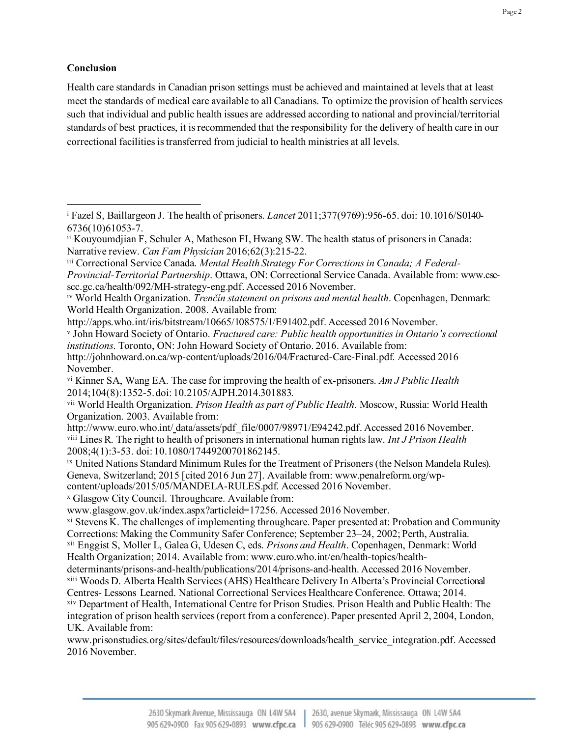### **Conclusion**

Health care standards in Canadian prison settings must be achieved and maintained at levels that at least meet the standards of medical care available to all Canadians. To optimize the provision of health services such that individual and public health issues are addressed according to national and provincial/territorial standards of best practices, it is recommended that the responsibility for the delivery of health care in our correctional facilities is transferred from judicial to health ministries at all levels.

[http://apps.who.int/iris/bitstream/10665/108575/1/E91402.pdf.](http://apps.who.int/iris/bitstream/10665/108575/1/E91402.pdf) Accessed 2016 November.

<sup>v</sup> John Howard Society of Ontario. *Fractured care: Public health opportunities in Ontario's correctional institutions*. Toronto, ON: John Howard Society of Ontario. 2016. Available from:

```
x Glasgow City Council. Throughcare. Available from:
```

```
www.glasgow.gov.uk/index.aspx?articleid=17256. Accessed 2016 November.
```

```
xi Stevens K. The challenges of implementing throughcare. Paper presented at: Probation and Community
Corrections: Making the Community Safer Conference; September 23–24, 2002; Perth, Australia.
xii Enggist S, Moller L, Galea G, Udesen C, eds. Prisons and Health. Copenhagen, Denmark: World
```

```
Health Organization; 2014. Available from: www.euro.who.int/en/health-topics/health-
```
determinants/prisons-and-health/publications/2014/prisons-and-health. Accessed 2016 November. xiii Woods D. Alberta Health Services (AHS) Healthcare Delivery In Alberta's Provincial Correctional

<sup>i</sup> Fazel S, Baillargeon J. The health of prisoners. *Lancet* 2011;377(9769):956-65. doi: 10.1016/S0140- 6736(10)61053-7.

ii Kouyoumdjian F, Schuler A, Matheson FI, Hwang SW. The health status of prisoners in Canada: Narrative review. *Can Fam Physician* 2016;62(3):215-22.

iii Correctional Service Canada. *Mental Health Strategy For Corrections in Canada; A Federal-Provincial-Territorial Partnership*. Ottawa, ON: Correctional Service Canada. Available from: www.cscscc.gc.ca/health/092/MH-strategy-eng.pdf. Accessed 2016 November.

iv World Health Organization. *Trenčín statement on prisons and mental health*. Copenhagen, Denmark: World Health Organization. 2008. Available from:

[http://johnhoward.on.ca/wp-content/uploads/2016/04/Fractured-Care-Final.pdf.](http://johnhoward.on.ca/wp-content/uploads/2016/04/Fractured-Care-Final.pdf) Accessed 2016 November.

vi Kinner SA, Wang EA. The case for improving the health of ex-prisoners. *Am J Public Health* 2014;104(8):1352-5.doi: 10.2105/AJPH.2014.301883.

vii World Health Organization. *Prison Health as part of Public Health*. Moscow, Russia: World Health Organization. 2003. Available from:

http://www.euro.who.int/\_[data/assets/pdf\\_file/0007/98971/E94242.pdf](http://www.euro.who.int/__data/assets/pdf_file/0007/98971/E94242.pdf). Accessed 2016 November. viii Lines R. The right to health of prisoners in international human rights law. *Int J Prison Health* 2008;4(1):3-53. doi: 10.1080/17449200701862145.

ix United Nations Standard Minimum Rules for the Treatment of Prisoners (the Nelson Mandela Rules). Geneva, Switzerland; 2015 [cited 2016 Jun 27]. Available from[: www.penalreform.org/wp](http://www.penalreform.org/wp)content/uploads/2015/05/MANDELA-RULES.pdf. Accessed 2016 November.

Centres- Lessons Learned. National Correctional Services Healthcare Conference. Ottawa; 2014. xiv Department of Health, International Centre for Prison Studies. Prison Health and Public Health: The integration of prison health services (report from a conference). Paper presented April 2, 2004, London, UK. Available from:

[www.prisonstudies.org/sites/default/files/resources/downloads/health\\_service\\_integration.pdf](http://www.prisonstudies.org/sites/default/files/resources/downloads/health_service_integration.pdf). Accessed 2016 November.